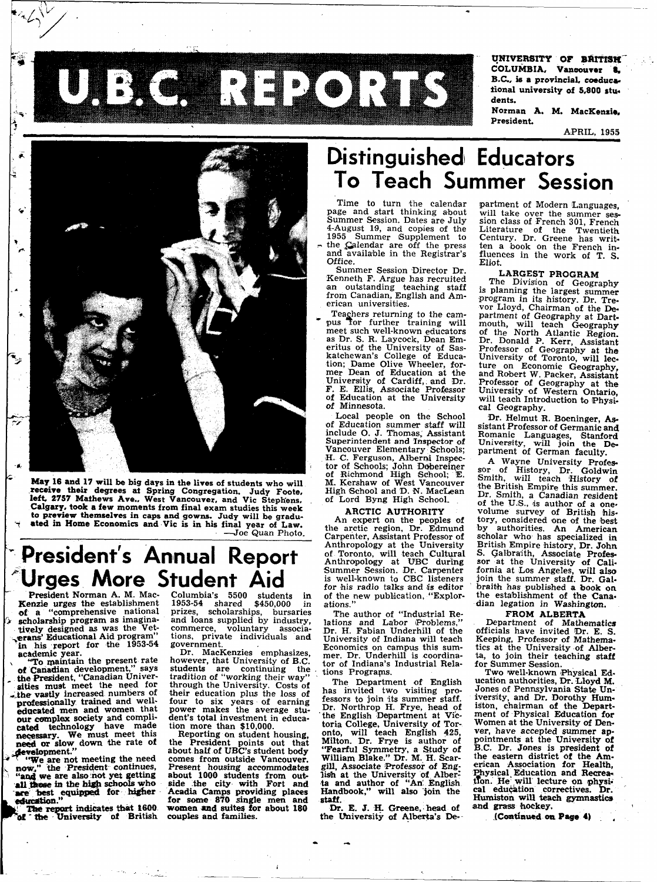**UNIVERSITY OF BRITISH COLUMBIA, Vancouver i . B.C., is a provincial, coeducational university of 5,800 stu\* dents. Norman A. M. MacKenzie,** 

**President.** 

**APRIL, 1955** 



**May 16 and 17 will be big days in the lives of students who will receive their degrees at Spring Congregation. Judy Foote, left. 2757 Mathews Ave., West Vancouver, and Vic Stephens, Calgary, took a few moments from final exam studies this week to preview themselves in caps and gowns. Judy will be graduated in Home Economics and Vic is in his final year of Law. —Joe Quan Photo.** 

# **President's Annual Report Urges More Student Aid**

**President Norman A. M. Mac Kenzie urges the establishment of a "comprehensive national > scholarship program as imaginatively designed as was the Veterans' Educational Aid program" in his report for the 1953-54 academic year,** 

 $\mathbf{X} \in \mathbb{R}$ 

**v "To maintain the present rate of Canadian development," says the President, "Canadian Universities must meet the need for ^.the- vastly increased numbers of professionally trained and welleducated men and women that our complex society and complicated technology have made necessary. We must meet this necessary**. We must meet this **..development."** 

*aevelopment.*<br>**A** will are not meeting the need **EXAMPLE THE ROL THE CONTINUES, AND THE PRESSURE CONTINUES,** <br> **EXAMPLE 2 Continues**, **CONTINUES • now, the President Continues**, **and we are also not yet getting all these in the high schools who education**. **P** 

**The report indicates that 1600**  *~\'* **the University of British**  **Columbia's 5500 students in 1953-54 shared \$450,000 in prizes, scholarships, bursaries**  prizes, scholarships, bursaries<br>and loans supplied by industry, **commerce, voluntary associations, private individuals and government.** 

UJEKCH RITARIST

**Dr. MacKenzies emphasizes, however, that University of B.C. students are continuing the tradition of "working their way" through the University. Costs of their education plus the loss of four to six years of earning power makes the average student's total investment in education more than \$10,000.** 

**Reporting on student housing, the President points out that about half of UBC's student body comes from outside Vancouver. Present housing accommodates about 1000 students from outside the city with Fort and Acadia Camps providing places for some 870 single men and women and suites for about 160 couples and families.** 

# **Distinguished Educators To Teach Summer Session**

**Time to turn the calendar page and start thinking about Summer Session. Dates are July 4-August 19, and copies of the 1955 Summer Supplement to - the ;Galendar are off the press and available in the Registrar's Office.** 

**Summer Session Director Dr. Kenneth F. Argue has recruited an outstanding teaching staff from Canadian, English and American universities.** 

**Teachers returning to the cam**pus Tor further training will **meet such well-known educators as Dr. S. R. Laycock, Dean Emeritus of the University of Saskatchewan's College of Education; Dame Olive Wheeler, former Dean of Education at the University of Cardiff, and Dr. F. E. Ellis, Associate Professor of Education at the University of Minnesota.** 

**Local people on the School of Education summer staff will include O. J. Thomas, Assistant Superintendent and Inspector of Vancouver Elementary Schools; H. C Ferguson, Alberni Inspector of Schools; John Dobereiner of Richmond High School; E. M. Kershaw of West Vancouver High School and D. N. MaeLean of Lord Byng High School.** 

#### **ARCTIC AUTHORITY**

**An expert on the peoples of the arctic region, Dr. Edmund Carpenter, Assistant Professor of Anthropology at the University of Toronto, will teach Cultural Anthropology at UBC during Summer Session. Dr. Carpenter is well-known to CBC listeners**  for his radio talks and *is* editor **of the new publication, "Explorations."** 

**The author of "Industrial Relations and Labor Problems," Dr. H. Fabian Underhill of the University of Indiana will teach Economics on campus this summer. Dr. Underhill is coordinator of Indiana's Industrial Relations Programs.** 

**The Department of English has invited two visiting professors to join its summer staff. Dr. Northrop H. Frye, head of the English Department at Victoria College, University of Toronto, will teach English 425, Milton. Dr. Frye is author of "Fearful Symmetry, a Study of William Blake." Dr. M. H. Scargill, Associate Professor of English at the University of Alberta and author of "An' English Handbook," will also join the staff.** 

Dr. E. J. H. Greene, head of **the University of Alberta's De-** **partment of Modern Languages, will take over the summer session class of French 301, French Literature of the Twentieth Century. Dr. Greene has written a book on the French influences in the work of T. S. Eliot.** 

#### **LARGEST PROGRAM**

**The Division of Geography is planning the largest summer program in its history. Dr. Trevor Lloyd, Chairman of the Department of Geography at Dartmouth, will teach Geography of the North Atlantic Region. Dr. Donald P. Kerr, Assistant Professor of Geography at the University of Toronto, will lecture on Economic Geography, and Robert W. Packer, Assistant Professor of Geography at the University of Western Ontario, will teach Introduction to Physical Geography.** 

**Dr. Helmut R. Boeninger, Assistant Professor of Germanic and Romanic Languages, Stanford University, will join the Department of German faculty.** 

**A Wayne University Professor of History, Dr. Goldwin Smith, will teach History of the British Empire this summer. Dr. Smith, a Canadian resident of the U.S., is author of a onevolume survey of British history, considered one of the best by authorities. An American scholar who has specialized in British Empire history, Dr. John S. Galbraith, Associate Professor at the University of California at Los Angeles, will also join the summer staff. Dr. Galbraith has published a book on the establishment of the Canadian legation in Washington.** 

#### **FROM ALBERTA**

**Department of Mathematics officials have invited Dr. E. S. Keeping, Professor of Mathematics at the University of Alberta, to join their teaching staff for Summer Session.** 

**Two well-known Physical Education authorities, Dr. Lloyd M. Jones of Pennsylvania State University, and Dr. Dorothy Humiston, chairman of the Department of Physical Education for Women at the University of Denver, have accepted summer appointments at the University of B.C. Dr. Jones is president of**  the eastern district of the Am**erican Association for Health, Physical Education and Recrea-tion. He! will lecture on physical education correctives. Dr. Humiston will teach gymnastics and grass hockey.** 

**(Continued on Page 4)**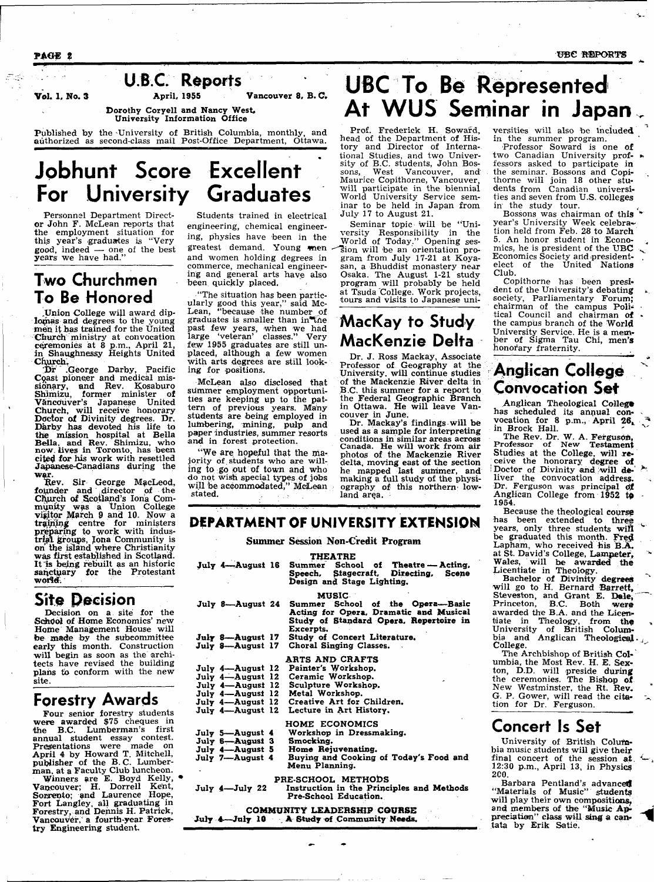PAGE 2 UBC REPORTS



Published by the -University of British Columbia, monthly, and authorized as second-class mail Post-Office Department, Ottawa.

## **Jobhunt Score Excellent For University Graduates**

Personnel Department Director John F. McLean reports that the employment situation for this year's graduates is "Very good, indeed — one of the best years we have had."

#### **Two Churchmen To Be Honored**

.Union College will award diplomas and degrees to the young men it has trained for the United Church ministry at convocation ceremonies at 8 p.m., April 21, in Shaughnessy Heights United Church.

Dr " .George Darby, Pacific Coast pioneer and medical missionary, and Rev. Kosaburo Shimizu, former minister of Vancouver's Japanese United Church, will receive honorary Doctor of Divinity degrees. Dr. Darby has devoted his life to the mission hospital at Bella Bella, and Rev. Shimizu, who now. lives in Toronto, has been cited for his work with resettled Japanese-Canadians during the war.

Rev. Sir George MacLeod, founder and director of the Church of Scotland's Ioria Community was a Union College visitor March 9 and 10. Now a training centre for ministers preparing to work with industrial groups, Iona Community is on" the island where Christianity was first established in Scotland. It "is being rebuilt as an historic sanctuary for the Protestant world:

#### **Site Decision**

Decision on a site for the School of Home Economics' new Home Management House will be made by the subcommittee early this month. Construction will begin as soon as the architects have revised the building plans to conform with the new site.

#### **Forestry Awards**

Four senior forestry students were awarded \$75 cheques in the B.C. Lumberman's first annual student essay contest. Presentations were made on April 4 by Howard T. Mitchell, publisher of the B.C. Lumberman, at a Faculty Club luncheon.

Winners are E. Boyd Kelly, Vancouver; H. Dorrell Kent, Sorrento; and Laurence Hope, Fort Langley, all graduating in Forestry, and Dennis H. Patrick, Vancouver," a fourth-year Forestry Engineering student.

greatest demand. Young men  $\widehat{\phantom{a}}$  fion will be an orientation proand women holding degrees in gram from July 17-21 at Koya-Students trained in electrical engineering, chemical engineering, physics have been in the commerce, mechanical engineering and general arts have also been quickly placed.

"The situation has been particularly good this year," said Mc-Lean, "because the number *oi*  graduates is smaller than in the past few years, when we had large 'veteran' classes." Very few 1955 graduates are still unplaced, although a few women with arts degrees are still looking for positions.

McLean also disclosed that slimmer employment opportunities are keeping up to the pattern of previous years. Many students are being employed in lumbering, mining, pulp and paper industries, summer resorts and in forest protection.

"We are hopeful that the majority of.students who are willing to go put of town and who do not wish special types of jobs will be acco stated.

# UBC To Be Represented **At WUS Seminar in Japan**

Prof. Frederick H. Sowafd, head of the Department of History and Director of International Studies, and two University of B.C. students, John Bossons, West Vancouver, and Maurice Copithorne, Vancouver, will participate in the biennial World University Service seminar to be held in Japan from July 17 to August 21.

Seminar topic will be "University Responsibility in the World of Today." Opening sessan, a Bhuddist monastery near Osaka. The August 1-21 study program will probably be held at Tsuda 'College. Work projects, tours and visits to Japanese uni-

## **MacKay to Study MacKenzie Delta**

Dr. J. Ross Mackay, Associate Professor of Geography at the University, will continue studies of the Mackenzie River delta in B.C. this summer for a report to the Federal Geographic Branch in Ottawa. He will leave Vancouver in June.

Dr. Mackay's findings-will be used as a sample for interpreting conditions in similar areas across Canada. He will work from air photos of the Mackenzie River delta, moving east of the section he mapped last summer, and summer, and<br>y of the physio**rthern low-** versities will also be included in the summer program.

Professor Soward is one of two Canadian University proffessors asked to participate in the seminar. Bossons and Copithorne will join 18 other students from Canadian universities and seven from U.S. colleges in the study tour.

Bossons was chairman of this year's University Week celebra~ tion held from Feb. 28 to March 5. An honor student in Economics, he is president of the UBC Economics Society and presidentelect of the United Nations Club.

Copithorne has been president of the University's debating society, Parliamentary Forum; chairman of the campus Political Council and chairman of the campus branch of the World University Service. He is a member of Sigma Tau Chi, men's honorary fraternity.

### **Anglican College Convocation Set**

Anglican Theological College has scheduled its annual convocation for 8 p.m., April  $26<sub>k</sub>$ in Brock Hall.

The Rev. Dr. W. A. Ferguson, Professor of New Testament Studies at the College, will re-; ceive the honorary degree of Doctor of Divinity and will deliver the convocation address. Dr. Ferguson was principal of Anglican College from  $1952$  to 1954.

Because the theological coursg has been extended to three years, only three students will be graduated this month. Fred Lapham, who received his **B.A.** at St. David's College, Lampeter, Wales, will be awarded the Licentiate in Theology.

Bachelor of Divinity degrees will go to H. Bernard Barrett, Steveston, and Grant E. Dale, Princeton, B.C. Both were awarded the B.A. and the Licentiate in Theology, from the University of British Columbia and Anglican Theological. College.

The Archbishop of British Columbia, the Most Rev. H. E. Sexton, D.D. will preside during the ceremonies. The Bishop of New Westminster, the Rt. Rev. G. P. Gower, will read the citation for Dr. Ferguson.

#### **Concert Is Set**

University of British Columbia music students will give their final concert of the session at 12:30 p.m., April 13, in Physics 2C0.

Barbara Pentland's advanced "Materials of Music" students will play their own compositions, and members of the "Music Appreciation" class will sing a cantata by Erik Satie.

## **DEPARTMENT OF UNIVERSITY EXTENSION**

#### **Summer Session Non-Credit Program**

| July 4-August 16<br>Summer School of Theatre - Acting,<br>Speech, Stagecraft, Directing,<br><b>Scene</b><br>Design and Stage Lighting.                                                                                                                                                                                 |  |  |
|------------------------------------------------------------------------------------------------------------------------------------------------------------------------------------------------------------------------------------------------------------------------------------------------------------------------|--|--|
| <b>MUSIC</b>                                                                                                                                                                                                                                                                                                           |  |  |
| School of the Opera-Basic<br>July 8-August 24<br>Summer<br>Acting for Opera, Dramatic and Musical<br>Study of Standard Opera, Repertoire in<br>Excerpts.                                                                                                                                                               |  |  |
| Study of Concert Literature.<br>July 8---August 17                                                                                                                                                                                                                                                                     |  |  |
| Choral Singing Classes.<br>July 8-August 17                                                                                                                                                                                                                                                                            |  |  |
| <b>ARTS AND CRAFTS</b><br>Painter's Workshop.<br>July 4-August 12<br>Ceramic Workshop.<br>July 4-August 12<br>Sculpture Workshop.<br>July 4-August 12<br>July 4-August 12<br>Metal Workshop.<br>Creative Art for Children.<br>July 4-August 12<br>Lecture in Art History.<br>July 4-August 12<br><b>HOME ECONOMICS</b> |  |  |
| Workshop in Dressmaking.<br>July 5-August 4                                                                                                                                                                                                                                                                            |  |  |
| Smocking.<br>July 6-August 3                                                                                                                                                                                                                                                                                           |  |  |
| Home Rejuvenating.<br>July 4-August 5                                                                                                                                                                                                                                                                                  |  |  |
| Buying and Cooking of Today's Food and<br>July 7-August 4<br>Menu Planning.                                                                                                                                                                                                                                            |  |  |
| PRE-SCHOOL METHODS<br>Instruction in the Principles and Methods<br>July 4-July 22<br>Pre-School Education.                                                                                                                                                                                                             |  |  |
| COMMUNITY LEADERSHIP COURSE                                                                                                                                                                                                                                                                                            |  |  |

July 4—July 10 . A Study of Community Needs.

THEATRE

| at of town and who<br>special types of jobs<br>mmodated," McLean | ne mapped iast :<br>making a full study<br>ography of this n<br>land area. |
|------------------------------------------------------------------|----------------------------------------------------------------------------|
|                                                                  |                                                                            |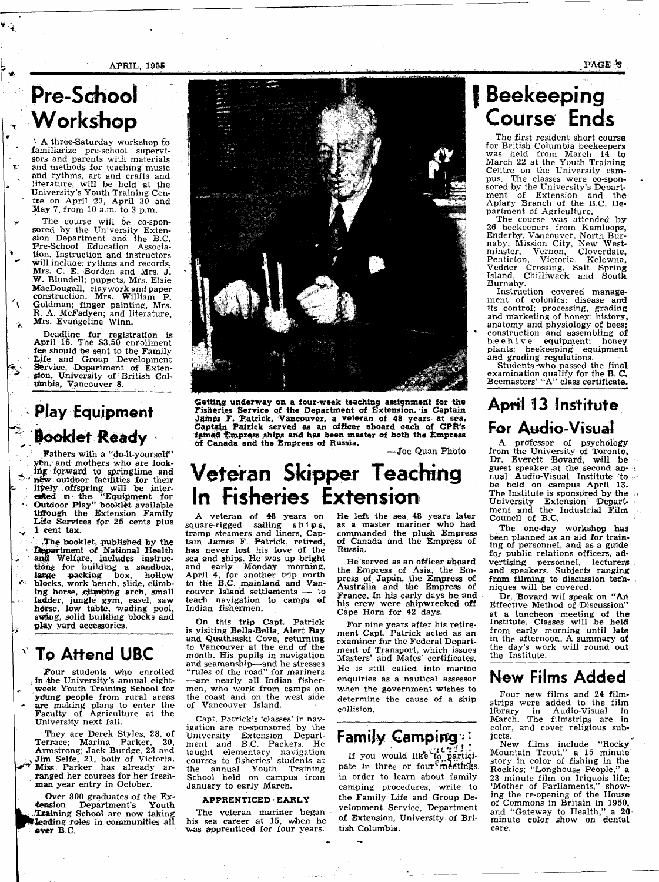APRIL, 1955 PAGE' S

# **Pre-School , Workshop**

A three-Saturday workshop fo familiarize pre-school supervisors and parents with materials and methods for teaching music and rythms, art and crafts and literature, will be held at the University's Youth Training Cen tre on April 23, April  $3\overline{0}$  and May 7, from 10 a.m. to 3 p.m.

\* The course will be co-sponsored by the University Extension Department and the B.C. Pre-School Education Associa tion. Instruction and instructors will include: rythms and records, Mrs. C. E. Borden and Mrs. J. W. Blundell; puppets, Mrs. Elsie MacDougall, clay work and paper construction, Mrs. William P. Goldman; finger painting, Mrs. R. A. McFadyen; and literature, Mrs. Evangeline Winn.

Deadline for registration is April 16. The \$3.50 enrollment fee should be sent tp the Family - Life and Group Development  $\mathcal{L}$  Service, Department of Extension, University of British Columbia, Vancouver 8.

## **Play Equipment Booklet Ready**

t

 $\ddot{\phantom{0}}$ 

V s

Fathers with a "do-it-yourself" yen, and mothers who are looking forward to springtime and ' new outdoor facilities for their c Iiyely offspring will be inter- , exted  $n$  the "Equipment for • Outdoor Play" booklet available tMfough the Extension Family Life Services fpr 25 cents plus 1 cent tax.

• The booklet, published by the • Efapartment of National Health  $\sim$  and Welfare, includes instructions for building a sandbox, large packing box, hollow blocks, work bench, slide, climbing horse, climbing arch, small ladder, jungle gym, easel, saw horse, low table, wading pool, swing, solid building blocks and play yard accessories.

### **To Attend UBC**

Four students who enrolled *•,* in the University's annual eightweek Youth Training School for young people from rural areas are making plans to enter the Faculty of Agriculture at the University next fall.

They are Derek Styles, 28, of Terrace; Marina Parker, 20, Armstrong; Jack Burdge, 23 and  $\sim$  Jim Selfe, 21, both of Victoria.  $\widetilde{\mathbf{y}}$  Miss Parker has already arranged her courses for her freshman year entry in October.

Over 800 graduates of the Extension Department's Youth .Training School are now taking leading roles in communities all over B.C.



Getting underway on a four-week teaching assignment for the Fisheries Service of the Department of Extension, is Captain James F. Patrick, Vancouver, a Veteran of 48 years at sea. Captain Patrick served as an officer aboard each of CPR's famed Empress ships and has been master of both the Empress of Canada and the Empress of Russia.

—Joe Quan Photo

# **Veteran Skipper Teaching In Fisheries Extension**

A veteran of 48 years on square-rigged sailing ships, tramp steamers and liners. Captain James F. Patrick, retired, has never lost his love of the sea and ships. He was up bright and early Monday morning, April 4, for another trip north to the BC. mainland and Vancouver Island settlements teach navigation to camps of Indian fishermen.

On this trip Capt. Patrick is visiting Bella-Bella, Alert Bay and Quathiaski Cove, returning to Vancouver at the end of the month. His pupils in navigation and seamanship—and he stresses "rules of the road" for mariners —are nearly all Indian fishermen, who work from camps on the coast and on the west side of Vancouver Island.

Capt. Patrick's 'classes' in navigation are co-sponsored by the University Extension Department and B.C. Packers. He taught elementary navigation courses to fisheries' students at the annual Youth Training School held on campus from January to early March.

#### APPRENTICED EARLY

The veteran mariner began his sea career at 15, when he was apprenticed for four years.

He left the sea 48 years later as a master mariner who had commanded the plush Empress of Canada and the Empress of Russia.

He served as an officer aboard the Empress of Asia, the Empress of Japan, the Empress of Australia and the Empress of France. In his early days he and his crew were shipwrecked off Cape Horn for 42 days.

For nine years after his retirement Capt. Patrick acted as an examiner for the Federal Department of Transport, which issues<br>Masters' and Mater' certificates masters' and mates certificates. He is still called into marine enquiries as a nautical assessor when the government wishes to determine the cause of a ship collision.

## **Family Camping**

If you would like to participate in three or four<sup>e</sup> meetings. in order to learn about family camping procedures, write to the Family Life and Group Development Service, Department of Extension, University of British Columbia.

## **Beekeeping Course Ends**

The first resident short course for British Columbia beekeepers was held from March 14 to March 22 at the Youth Training Centre on the University campus. The classes were co-sponsored by the University's Department of Extension and the Apiary Branch of the B.C. Department of Agriculture.

The course was attended by 26 beekeepers from Kamloops, Enderby, Vancouver, North Burnaby, Mission City, New Westminster, Vernon, Cloverdale, Penticton, Victoria, Kelowna, Vedder Crossing. Salt Spring Island, Chilliwack and South Burnaby.

Instruction covered management of colonies; disease and its control; processing, grading and marketing of honey: history, anatomy and physiology of bees; construction and assembling of beehive equipment; honey plants; beekeeping equipment and grading regulations.

Students -who passed the final examination qualify for the B. C. Beemasters' "A" class certificate.

## **April J3 Institute For Audio-Visual**

A professor of psychology from the University of Toronto, Dr. Everett Bovard, will be guest speaker at the second an- u nual Audio-Visual Institute to • be held on campus April 13. The Institute is sponsored by the University Extension Depart- < ment and the Industrial Film : Council of B.C.

The one-day workshop has been planned as an aid for training of personnel, and as a guide for public relations officers, advertising personnel, lecturers and speakers. Subjects ranging from filming to discussion techniques will be covered.

Dr. Bovard wil speak on "An Effective Method of Discussion" at a luncheon meeting of the Institute. Classes will be held from early morning until late in the afternoon. A summary of the day's work will round odt the Institute.

#### **New Films Added**

Four new films and 24 filmstrips were added to the film library in Audio-Visual in March. The filmstrips are in color, and cover religious subjects.

New films include "Rocky Mountain Trout," a 15 minute story in color of fishing in the Rockies; "Longhouse People," a 23 minute film on Iriquois life; 'Mother of Parliaments," showing the re-opening of the House of Commons in Britain in 1950, and "Gateway to Health," a 20 minute color show on dental care.